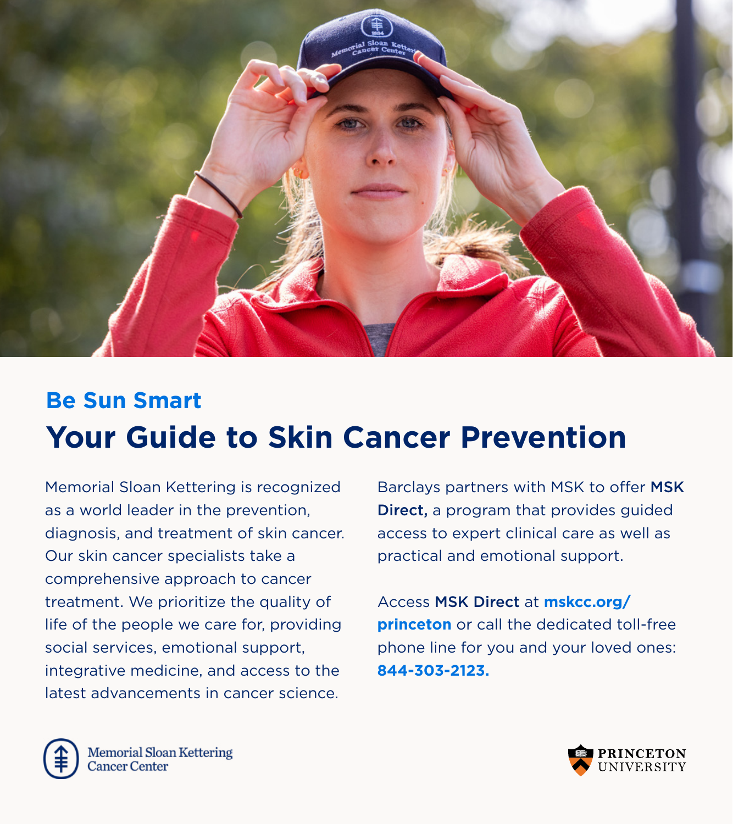

# **Be Sun Smart Your Guide to Skin Cancer Prevention**

Memorial Sloan Kettering is recognized as a world leader in the prevention, diagnosis, and treatment of skin cancer. Our skin cancer specialists take a comprehensive approach to cancer treatment. We prioritize the quality of life of the people we care for, providing social services, emotional support, integrative medicine, and access to the latest advancements in cancer science.

Barclays partners with MSK to offer MSK Direct, a program that provides guided access to expert clinical care as well as practical and emotional support.

Access MSK Direct at **mskcc.org/ princeton** or call the dedicated toll-free phone line for you and your loved ones: **844-303-2123.** 



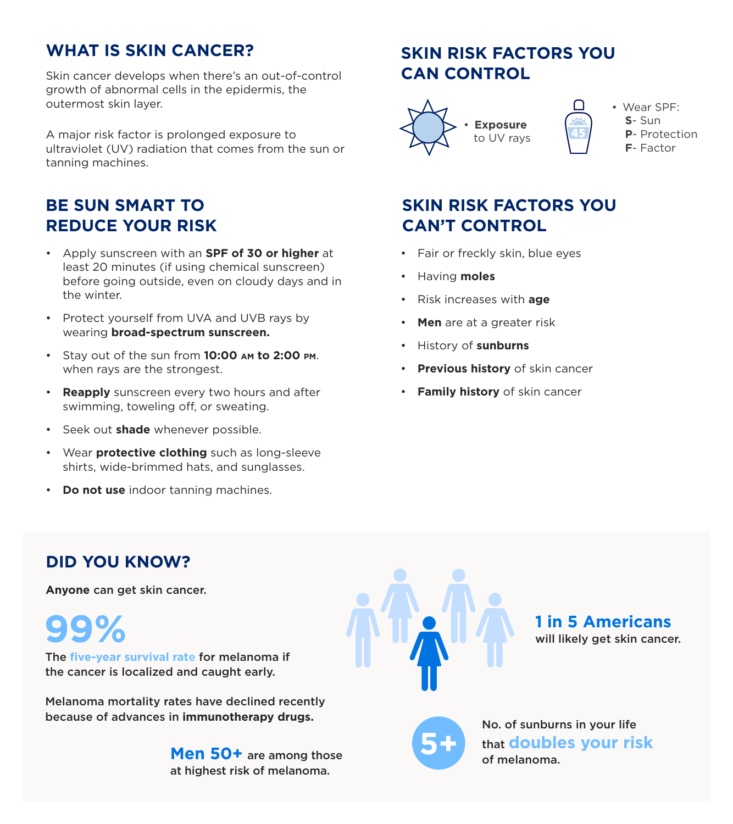### **WHAT IS SKIN CANCER?**

Skin cancer develops when there's an out-of-control growth of abnormal cells in the epidermis, the outermost skin layer.

A major risk factor is prolonged exposure to ultraviolet (UV) radiation that comes from the sun or tanning machines.

# **BE SUN SMART TO REDUCE YOUR RISK**

- Apply sunscreen with an **SPF of 30 or higher** at least 20 minutes (if using chemical sunscreen) before going outside, even on cloudy days and in the winter.
- Protect yourself from UVA and UVB rays by wearing **broad-spectrum sunscreen.**
- Stay out of the sun from **10:00 am to 2:00 pm**. when rays are the strongest.
- **Reapply** sunscreen every two hours and after swimming, toweling off, or sweating.
- Seek out **shade** whenever possible.
- Wear **protective clothing** such as long-sleeve shirts, wide-brimmed hats, and sunglasses.
- **Do not use** indoor tanning machines.

# **SKIN RISK FACTORS YOU CAN CONTROL**



# **SKIN RISK FACTORS YOU CAN'T CONTROL**

- Fair or freckly skin, blue eyes
- Having **moles**
- Risk increases with **age**
- **Men** are at a greater risk
- History of **sunburns**
- **Previous history** of skin cancer
- **Family history** of skin cancer

# **DID YOU KNOW?**

**Anyone** can get skin cancer.

**99%**

The **five-year survival rat**e for melanoma if the cancer is localized and caught early.

Melanoma mortality rates have declined recently because of advances in **immunotherapy drugs.**

> **Men 50+** are among those at highest risk of melanoma.



**1 in 5 Americans** will likely get skin cancer.



No. of sunburns in your life that **doubles your risk 5+** of melanoma.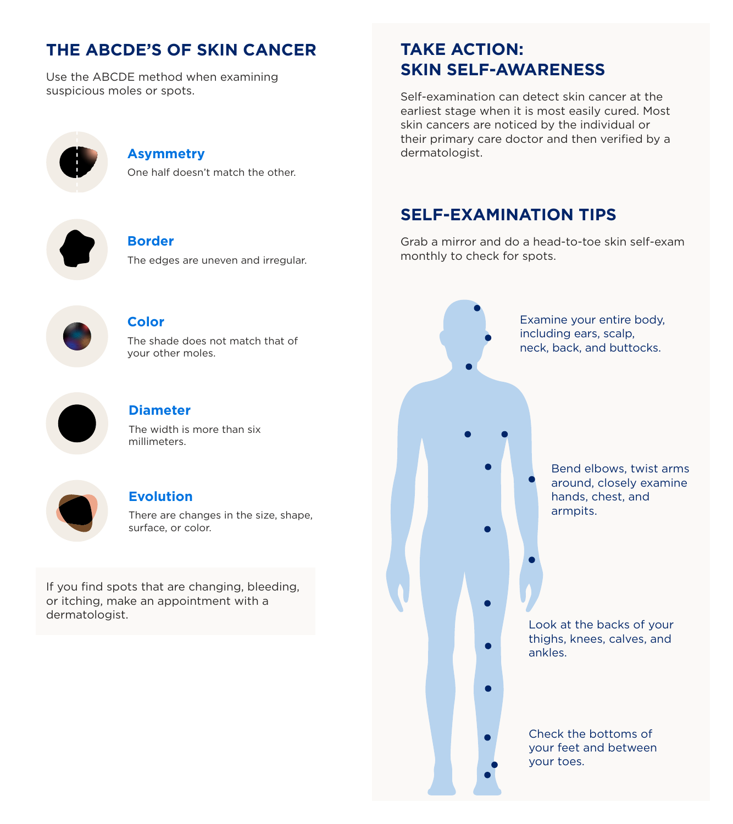## **THE ABCDE'S OF SKIN CANCER**

Use the ABCDE method when examining suspicious moles or spots.



#### **Asymmetry**

One half doesn't match the other.



#### **Border**

The edges are uneven and irregular.



#### **Color**

The shade does not match that of your other moles.



#### **Diameter**

The width is more than six millimeters.



#### **Evolution**

There are changes in the size, shape, surface, or color.

If you find spots that are changing, bleeding, or itching, make an appointment with a dermatologist.

### **TAKE ACTION: SKIN SELF-AWARENESS**

Self-examination can detect skin cancer at the earliest stage when it is most easily cured. Most skin cancers are noticed by the individual or their primary care doctor and then verified by a dermatologist.

### **SELF-EXAMINATION TIPS**

Grab a mirror and do a head-to-toe skin self-exam monthly to check for spots.